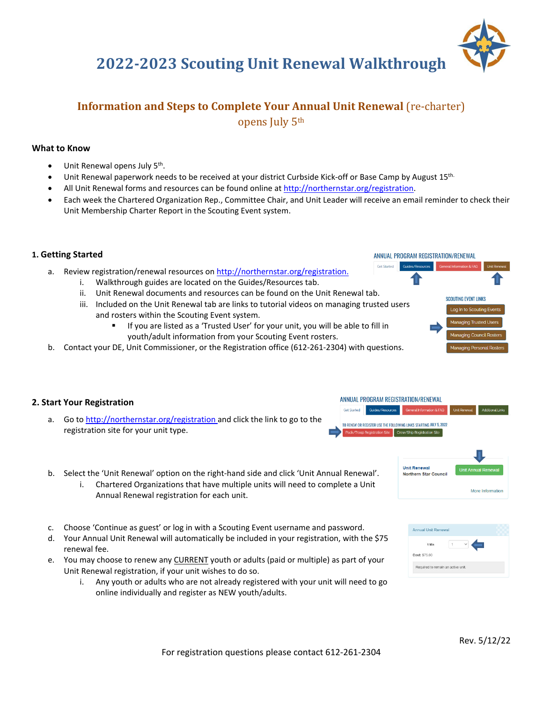# **2022‐2023 Scouting Unit Renewal Walkthrough**

# **Information and Steps to Complete Your Annual Unit Renewal** (re-charter) opens July 5th

## **What to Know**

- Unit Renewal opens July 5<sup>th</sup>.
- Unit Renewal paperwork needs to be received at your district Curbside Kick-off or Base Camp by August 15<sup>th.</sup>
- All Unit Renewal forms and resources can be found online at http://northernstar.org/registration.
- Each week the Chartered Organization Rep., Committee Chair, and Unit Leader will receive an email reminder to check their Unit Membership Charter Report in the Scouting Event system.

## **1. Getting Started**

a. Review registration/renewal resources on http://northernstar.org/registration.

- i. Walkthrough guides are located on the Guides/Resources tab.
- ii. Unit Renewal documents and resources can be found on the Unit Renewal tab.
- iii. Included on the Unit Renewal tab are links to tutorial videos on managing trusted users and rosters within the Scouting Event system.
	- If you are listed as a 'Trusted User' for your unit, you will be able to fill in youth/adult information from your Scouting Event rosters.
- b. Contact your DE, Unit Commissioner, or the Registration office (612‐261‐2304) with questions.



ANNUAL PROGRAM REGISTRATION/RENEWAL

## **2. Start Your Registration**

a. Go to http://northernstar.org/registration and click the link to go to the registration site for your unit type.



Get Started





| 1 Min         |  |
|---------------|--|
| Cost: \$75.00 |  |

- b. Select the 'Unit Renewal' option on the right‐hand side and click 'Unit Annual Renewal'.
	- i. Chartered Organizations that have multiple units will need to complete a Unit Annual Renewal registration for each unit.
- c. Choose 'Continue as guest' or log in with a Scouting Event username and password.
- d. Your Annual Unit Renewal will automatically be included in your registration, with the \$75 renewal fee.
- e. You may choose to renew any CURRENT youth or adults (paid or multiple) as part of your Unit Renewal registration, if your unit wishes to do so.
	- i. Any youth or adults who are not already registered with your unit will need to go online individually and register as NEW youth/adults.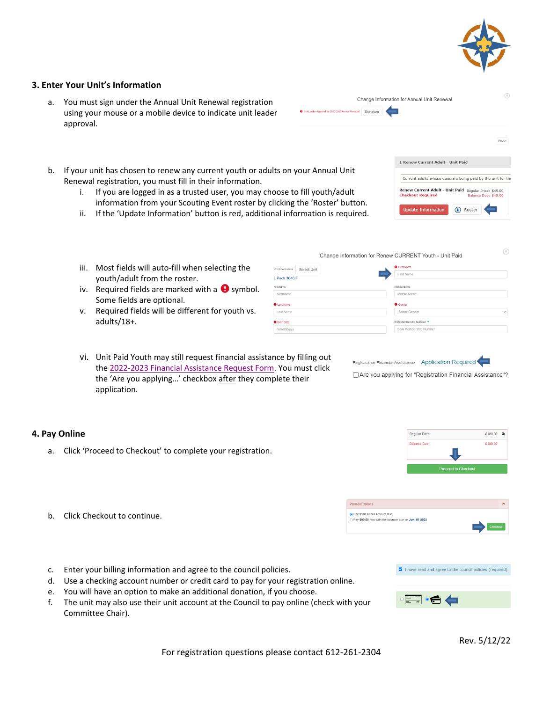

 $\circledR$ 

Done

## **3. Enter Your Unit's Information**

- a. You must sign under the Annual Unit Renewal registration using your mouse or a mobile device to indicate unit leader approval.
- Change Information for Annual Unit Renewal Signature

1 Renew Current Adult - Unit Paid

Undate Information

Current adults whose dues are being paid by the unit for th Renew Current Adult - Unit Paid Regular Price: \$45.00

(1) Roster

- b. If your unit has chosen to renew any current youth or adults on your Annual Unit Renewal registration, you must fill in their information.
	- i. If you are logged in as a trusted user, you may choose to fill youth/adult information from your Scouting Event roster by clicking the 'Roster' button.
	- ii. If the 'Update Information' button is red, additional information is required.

Unit In L Pa Nickn  $\overline{N}$  $\mathbf 0$  La La  $\bullet$  Bir  $_{\rm mr}$ 

- iii. Most fields will auto-fill when selecting the youth/adult from the roster.
- iv. Required fields are marked with a  $\bigoplus$  symbol. Some fields are optional.
- v. Required fields will be different for youth vs. adults/18+.
- vi. Unit Paid Youth may still request financial assistance by filling out the 2022‐2023 Financial Assistance Request Form. You must click the 'Are you applying…' checkbox after they complete their application.

## **4. Pay Online**

a. Click 'Proceed to Checkout' to complete your registration.



- c. Enter your billing information and agree to the council policies.
- d. Use a checking account number or credit card to pay for your registration online.
- e. You will have an option to make an additional donation, if you choose.
- f. The unit may also use their unit account at the Council to pay online (check with your Committee Chair).



Rev. 5/12/22

For registration questions please contact 612‐261‐2304

 $(\widehat{\mathsf{x}})$ 

| formation<br>Select Unit | <b>O</b> First Name           |
|--------------------------|-------------------------------|
| ck 3046 F                | First Name                    |
| eme                      | Middle Name                   |
| kname                    | Middle Name                   |
| st Name                  | <b>O</b> Gender               |
| st Name                  | Select Gender<br>$\checkmark$ |
| th Date                  | BSA Membership Number ?       |
| v/dd/yyyy                | <b>BSA Membership Number</b>  |
|                          |                               |

Change Information for Renew CURRENT Youth - Unit Paid

Registration Financial Assistance Application Required

□ Are you applying for "Registration Financial Assistance"?



Payment Options O Pay \$180.00 full amount due Pay \$90.00 now with the balance due on Jun, 01 2022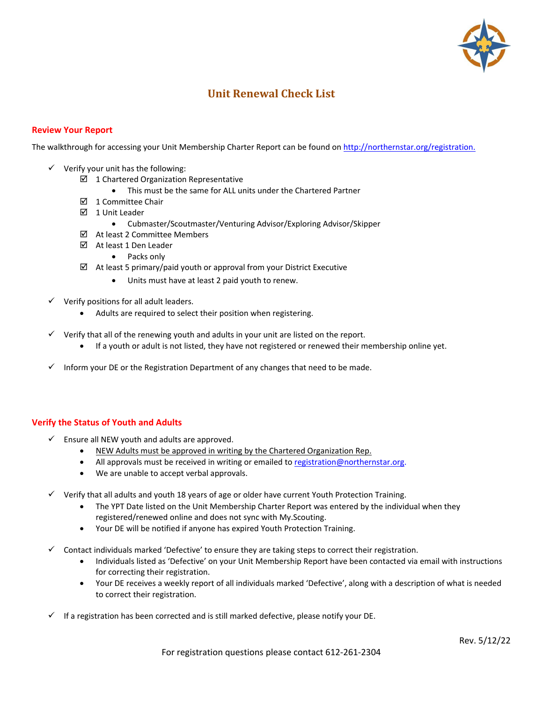

# **Unit Renewal Check List**

## **Review Your Report**

The walkthrough for accessing your Unit Membership Charter Report can be found on http://northernstar.org/registration.

- $\checkmark$  Verify your unit has the following:
	- $\boxtimes$  1 Chartered Organization Representative
		- This must be the same for ALL units under the Chartered Partner
	- $\boxtimes$  1 Committee Chair
	- 1 Unit Leader
		- Cubmaster/Scoutmaster/Venturing Advisor/Exploring Advisor/Skipper
	- At least 2 Committee Members
	- At least 1 Den Leader
		- Packs only
	- $\boxtimes$  At least 5 primary/paid youth or approval from your District Executive
		- Units must have at least 2 paid youth to renew.
- $\checkmark$  Verify positions for all adult leaders.
	- Adults are required to select their position when registering.
- Verify that all of the renewing youth and adults in your unit are listed on the report.
	- If a youth or adult is not listed, they have not registered or renewed their membership online yet.
- Inform your DE or the Registration Department of any changes that need to be made.

## **Verify the Status of Youth and Adults**

- $\checkmark$  Ensure all NEW youth and adults are approved.
	- NEW Adults must be approved in writing by the Chartered Organization Rep.
	- All approvals must be received in writing or emailed to registration@northernstar.org.
	- We are unable to accept verbal approvals.
- $\checkmark$  Verify that all adults and youth 18 years of age or older have current Youth Protection Training.
	- The YPT Date listed on the Unit Membership Charter Report was entered by the individual when they registered/renewed online and does not sync with My.Scouting.
	- Your DE will be notified if anyone has expired Youth Protection Training.
- Contact individuals marked 'Defective' to ensure they are taking steps to correct their registration.
	- Individuals listed as 'Defective' on your Unit Membership Report have been contacted via email with instructions for correcting their registration.
	- Your DE receives a weekly report of all individuals marked 'Defective', along with a description of what is needed to correct their registration.
- If a registration has been corrected and is still marked defective, please notify your DE.